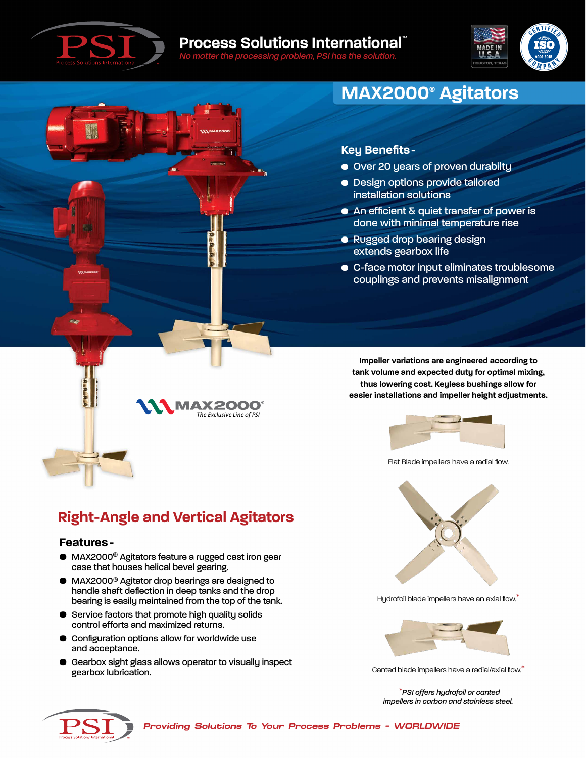



# **MAX2000® Agitators**

### **Key Benefits-**

- Over 20 years of proven durabilty
- Design options provide tailored installation solutions
- An efficient & quiet transfer of power is done with minimal temperature rise
- Rugged drop bearing design extends gearbox life
- C-face motor input eliminates troublesome couplings and prevents misalignment

**Impeller variations are engineered according to tank volume and expected duty for optimal mixing, thus lowering cost. Keyless bushings allow for easier installations and impeller height adjustments.**



Flat Blade impellers have a radial flow.



Hydrofoil blade impellers have an axial flow.\*



Canted blade impellers have a radial/axial flow.\*

\**PSI offers hydrofoil or canted impellers in carbon and stainless steel.*



# **Right-Angle and Vertical Agitators**

#### **Features-**

- MAX2000® Agitators feature a rugged cast iron gear case that houses helical bevel gearing.
- MAX2000® Agitator drop bearings are designed to handle shaft deflection in deep tanks and the drop bearing is easily maintained from the top of the tank.
- **•** Service factors that promote high quality solids control efforts and maximized returns.
- Configuration options allow for worldwide use and acceptance.
- Gearbox sight glass allows operator to visually inspect gearbox lubrication.